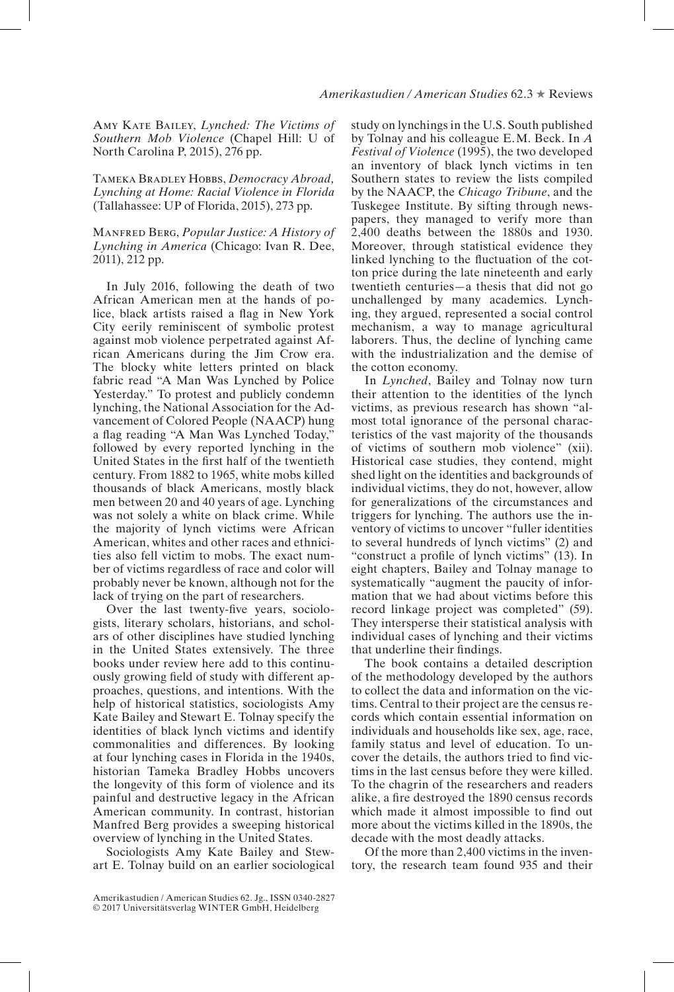Amy Kate Bailey, *Lynched: The Victims of Southern Mob Violence* (Chapel Hill: U of North Carolina P, 2015), 276 pp.

Tameka Bradley Hobbs, *Democracy Abroad, Lynching at Home: Racial Violence in Florida* (Tallahassee: UP of Florida, 2015), 273 pp.

Manfred Berg, *Popular Justice: A History of Lynching in America* (Chicago: Ivan R. Dee, 2011), 212 pp.

In July 2016, following the death of two African American men at the hands of police, black artists raised a flag in New York City eerily reminiscent of symbolic protest against mob violence perpetrated against African Americans during the Jim Crow era. The blocky white letters printed on black fabric read "A Man Was Lynched by Police Yesterday." To protest and publicly condemn lynching, the National Association for the Advancement of Colored People (NAACP) hung a flag reading "A Man Was Lynched Today," followed by every reported lynching in the United States in the frst half of the twentieth century. From 1882 to 1965, white mobs killed thousands of black Americans, mostly black men between 20 and 40 years of age. Lynching was not solely a white on black crime. While the majority of lynch victims were African American, whites and other races and ethnicities also fell victim to mobs. The exact number of victims regardless of race and color will probably never be known, although not for the lack of trying on the part of researchers.

Over the last twenty-fve years, sociologists, literary scholars, historians, and scholars of other disciplines have studied lynching in the United States extensively. The three books under review here add to this continuously growing feld of study with different approaches, questions, and intentions. With the help of historical statistics, sociologists Amy Kate Bailey and Stewart E. Tolnay specify the identities of black lynch victims and identify commonalities and differences. By looking at four lynching cases in Florida in the 1940s, historian Tameka Bradley Hobbs uncovers the longevity of this form of violence and its painful and destructive legacy in the African American community. In contrast, historian Manfred Berg provides a sweeping historical overview of lynching in the United States.

Sociologists Amy Kate Bailey and Stewart E. Tolnay build on an earlier sociological study on lynchings in the U.S. South published by Tolnay and his colleague E.M. Beck. In *A Festival of Violence* (1995), the two developed an inventory of black lynch victims in ten Southern states to review the lists compiled by the NAACP, the *Chicago Tribune*, and the Tuskegee Institute. By sifting through newspapers, they managed to verify more than 2,400 deaths between the 1880s and 1930. Moreover, through statistical evidence they linked lynching to the fuctuation of the cotton price during the late nineteenth and early twentieth centuries—a thesis that did not go unchallenged by many academics. Lynching, they argued, represented a social control mechanism, a way to manage agricultural laborers. Thus, the decline of lynching came with the industrialization and the demise of the cotton economy.

In *Lynched*, Bailey and Tolnay now turn their attention to the identities of the lynch victims, as previous research has shown "almost total ignorance of the personal characteristics of the vast majority of the thousands of victims of southern mob violence" (xii). Historical case studies, they contend, might shed light on the identities and backgrounds of individual victims, they do not, however, allow for generalizations of the circumstances and triggers for lynching. The authors use the inventory of victims to uncover "fuller identities to several hundreds of lynch victims" (2) and "construct a profle of lynch victims" (13). In eight chapters, Bailey and Tolnay manage to systematically "augment the paucity of information that we had about victims before this record linkage project was completed" (59). They intersperse their statistical analysis with individual cases of lynching and their victims that underline their fndings.

The book contains a detailed description of the methodology developed by the authors to collect the data and information on the victims. Central to their project are the census records which contain essential information on individuals and households like sex, age, race, family status and level of education. To uncover the details, the authors tried to fnd victims in the last census before they were killed. To the chagrin of the researchers and readers alike, a fre destroyed the 1890 census records which made it almost impossible to fnd out more about the victims killed in the 1890s, the decade with the most deadly attacks.

Of the more than 2,400 victims in the inventory, the research team found 935 and their

Amerikastudien / American Studies 62. Jg., ISSN 0340-2827 © 2017 Universitätsverlag WINTER GmbH, Heidelberg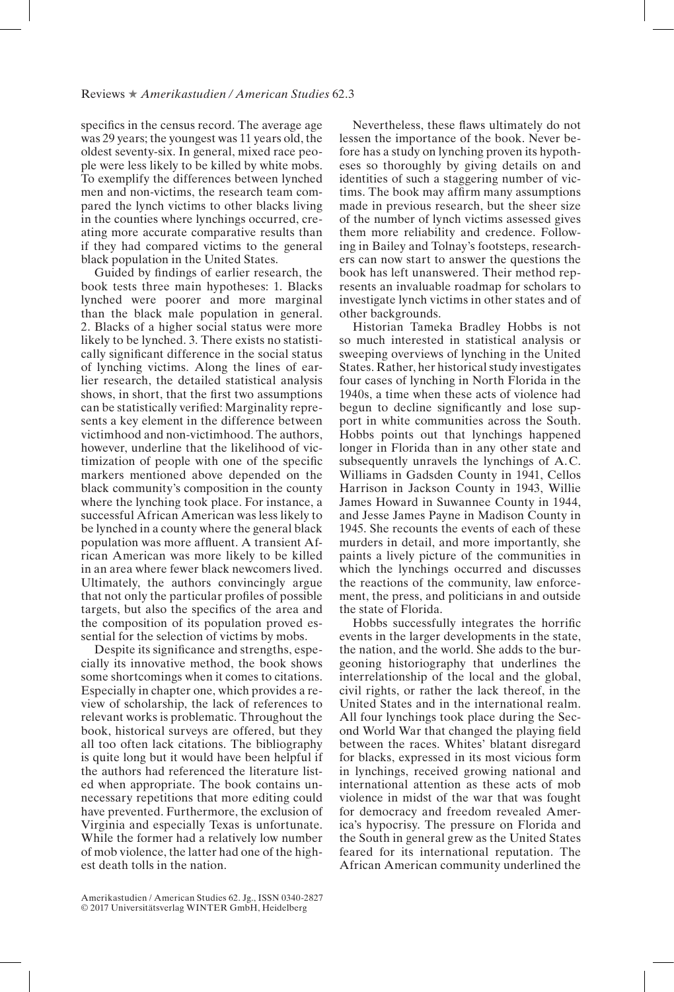specifcs in the census record. The average age was 29 years; the youngest was 11 years old, the oldest seventy-six. In general, mixed race people were less likely to be killed by white mobs. To exemplify the differences between lynched men and non-victims, the research team compared the lynch victims to other blacks living in the counties where lynchings occurred, creating more accurate comparative results than if they had compared victims to the general black population in the United States.

Guided by fndings of earlier research, the book tests three main hypotheses: 1. Blacks lynched were poorer and more marginal than the black male population in general. 2. Blacks of a higher social status were more likely to be lynched. 3. There exists no statistically signifcant difference in the social status of lynching victims. Along the lines of earlier research, the detailed statistical analysis shows, in short, that the frst two assumptions can be statistically verifed: Marginality represents a key element in the difference between victimhood and non-victimhood. The authors, however, underline that the likelihood of victimization of people with one of the specifc markers mentioned above depended on the black community's composition in the county where the lynching took place. For instance, a successful African American was less likely to be lynched in a county where the general black population was more affuent. A transient African American was more likely to be killed in an area where fewer black newcomers lived. Ultimately, the authors convincingly argue that not only the particular profles of possible targets, but also the specifcs of the area and the composition of its population proved essential for the selection of victims by mobs.

Despite its signifcance and strengths, especially its innovative method, the book shows some shortcomings when it comes to citations. Especially in chapter one, which provides a review of scholarship, the lack of references to relevant works is problematic. Throughout the book, historical surveys are offered, but they all too often lack citations. The bibliography is quite long but it would have been helpful if the authors had referenced the literature listed when appropriate. The book contains unnecessary repetitions that more editing could have prevented. Furthermore, the exclusion of Virginia and especially Texas is unfortunate. While the former had a relatively low number of mob violence, the latter had one of the highest death tolls in the nation.

Historian Tameka Bradley Hobbs is not so much interested in statistical analysis or sweeping overviews of lynching in the United States. Rather, her historical study investigates four cases of lynching in North Florida in the 1940s, a time when these acts of violence had begun to decline signifcantly and lose support in white communities across the South. Hobbs points out that lynchings happened longer in Florida than in any other state and subsequently unravels the lynchings of A.C. Williams in Gadsden County in 1941, Cellos Harrison in Jackson County in 1943, Willie James Howard in Suwannee County in 1944, and Jesse James Payne in Madison County in 1945. She recounts the events of each of these murders in detail, and more importantly, she paints a lively picture of the communities in which the lynchings occurred and discusses the reactions of the community, law enforcement, the press, and politicians in and outside the state of Florida.

Hobbs successfully integrates the horrifc events in the larger developments in the state, the nation, and the world. She adds to the burgeoning historiography that underlines the interrelationship of the local and the global, civil rights, or rather the lack thereof, in the United States and in the international realm. All four lynchings took place during the Second World War that changed the playing feld between the races. Whites' blatant disregard for blacks, expressed in its most vicious form in lynchings, received growing national and international attention as these acts of mob violence in midst of the war that was fought for democracy and freedom revealed America's hypocrisy. The pressure on Florida and the South in general grew as the United States feared for its international reputation. The African American community underlined the

Nevertheless, these faws ultimately do not lessen the importance of the book. Never before has a study on lynching proven its hypotheses so thoroughly by giving details on and identities of such a staggering number of victims. The book may affrm many assumptions made in previous research, but the sheer size of the number of lynch victims assessed gives them more reliability and credence. Following in Bailey and Tolnay's footsteps, researchers can now start to answer the questions the book has left unanswered. Their method represents an invaluable roadmap for scholars to investigate lynch victims in other states and of other backgrounds.

Amerikastudien / American Studies 62. Jg., ISSN 0340-2827 © 2017 Universitätsverlag WINTER GmbH, Heidelberg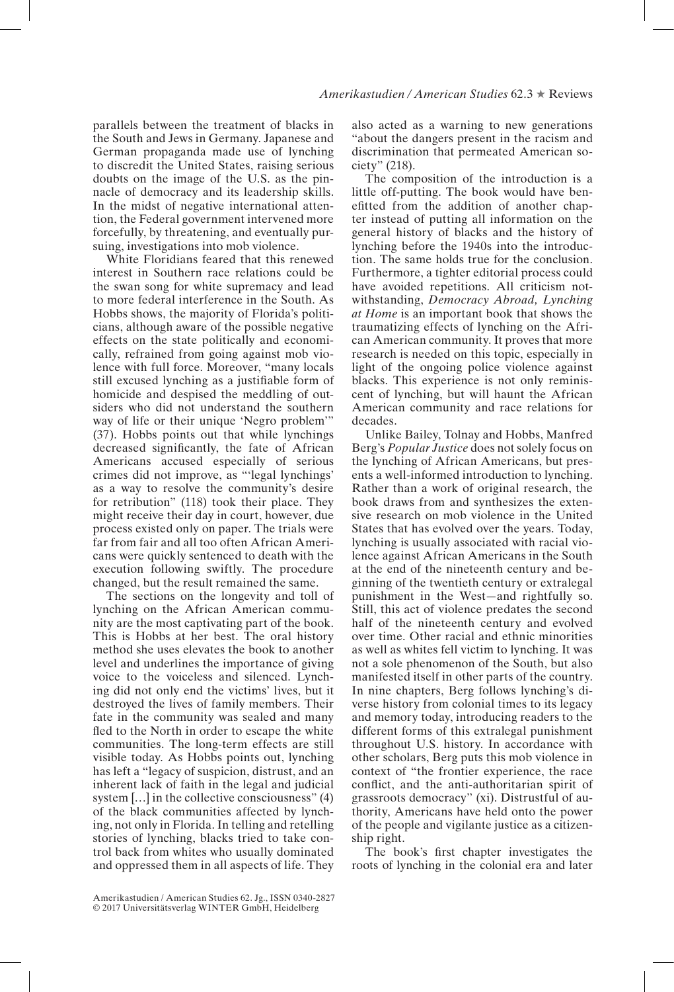parallels between the treatment of blacks in the South and Jews in Germany. Japanese and German propaganda made use of lynching to discredit the United States, raising serious doubts on the image of the U.S. as the pinnacle of democracy and its leadership skills. In the midst of negative international attention, the Federal government intervened more forcefully, by threatening, and eventually pursuing, investigations into mob violence.

White Floridians feared that this renewed interest in Southern race relations could be the swan song for white supremacy and lead to more federal interference in the South. As Hobbs shows, the majority of Florida's politicians, although aware of the possible negative effects on the state politically and economically, refrained from going against mob violence with full force. Moreover, "many locals still excused lynching as a justifable form of homicide and despised the meddling of outsiders who did not understand the southern way of life or their unique 'Negro problem'" (37). Hobbs points out that while lynchings decreased signifcantly, the fate of African Americans accused especially of serious crimes did not improve, as "'legal lynchings' as a way to resolve the community's desire for retribution" (118) took their place. They might receive their day in court, however, due process existed only on paper. The trials were far from fair and all too often African Americans were quickly sentenced to death with the execution following swiftly. The procedure changed, but the result remained the same.

The sections on the longevity and toll of lynching on the African American community are the most captivating part of the book. This is Hobbs at her best. The oral history method she uses elevates the book to another level and underlines the importance of giving voice to the voiceless and silenced. Lynching did not only end the victims' lives, but it destroyed the lives of family members. Their fate in the community was sealed and many fed to the North in order to escape the white communities. The long-term effects are still visible today. As Hobbs points out, lynching has left a "legacy of suspicion, distrust, and an inherent lack of faith in the legal and judicial system [...] in the collective consciousness" (4) of the black communities affected by lynching, not only in Florida. In telling and retelling stories of lynching, blacks tried to take control back from whites who usually dominated and oppressed them in all aspects of life. They also acted as a warning to new generations "about the dangers present in the racism and discrimination that permeated American society" (218).

The composition of the introduction is a little off-putting. The book would have beneftted from the addition of another chapter instead of putting all information on the general history of blacks and the history of lynching before the 1940s into the introduction. The same holds true for the conclusion. Furthermore, a tighter editorial process could have avoided repetitions. All criticism notwithstanding, *Democracy Abroad, Lynching at Home* is an important book that shows the traumatizing effects of lynching on the African American community. It proves that more research is needed on this topic, especially in light of the ongoing police violence against blacks. This experience is not only reminiscent of lynching, but will haunt the African American community and race relations for decades.

Unlike Bailey, Tolnay and Hobbs, Manfred Berg's *Popular Justice* does not solely focus on the lynching of African Americans, but presents a well-informed introduction to lynching. Rather than a work of original research, the book draws from and synthesizes the extensive research on mob violence in the United States that has evolved over the years. Today, lynching is usually associated with racial violence against African Americans in the South at the end of the nineteenth century and beginning of the twentieth century or extralegal punishment in the West—and rightfully so. Still, this act of violence predates the second half of the nineteenth century and evolved over time. Other racial and ethnic minorities as well as whites fell victim to lynching. It was not a sole phenomenon of the South, but also manifested itself in other parts of the country. In nine chapters, Berg follows lynching's diverse history from colonial times to its legacy and memory today, introducing readers to the different forms of this extralegal punishment throughout U.S. history. In accordance with other scholars, Berg puts this mob violence in context of "the frontier experience, the race confict, and the anti-authoritarian spirit of grassroots democracy" (xi). Distrustful of authority, Americans have held onto the power of the people and vigilante justice as a citizenship right.

The book's frst chapter investigates the roots of lynching in the colonial era and later

Amerikastudien / American Studies 62. Jg., ISSN 0340-2827 © 2017 Universitätsverlag WINTER GmbH, Heidelberg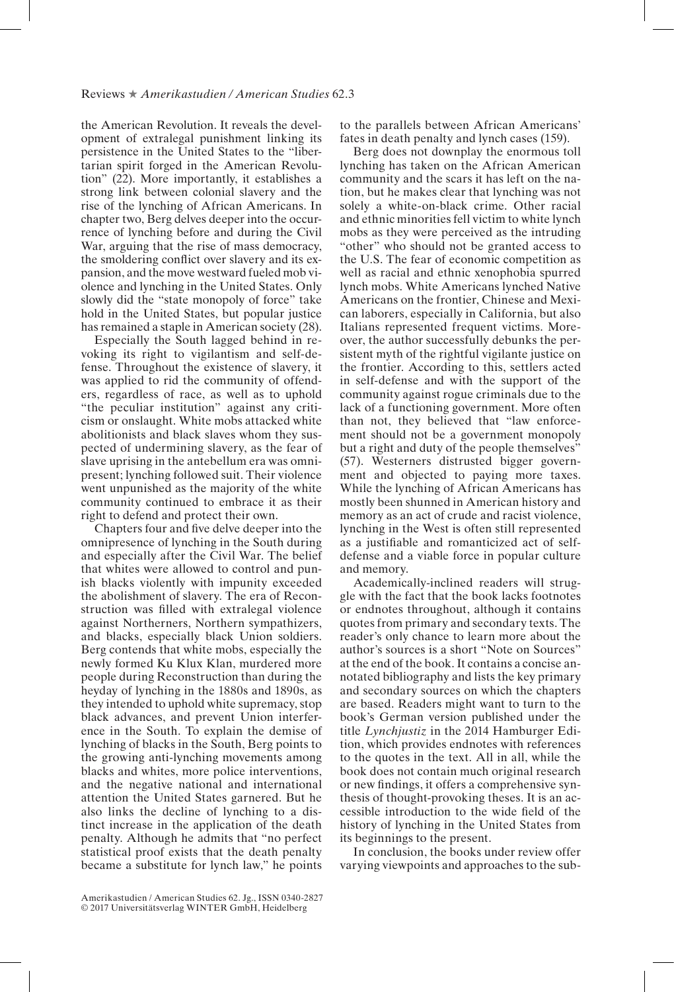the American Revolution. It reveals the development of extralegal punishment linking its persistence in the United States to the "libertarian spirit forged in the American Revolution" (22). More importantly, it establishes a strong link between colonial slavery and the rise of the lynching of African Americans. In chapter two, Berg delves deeper into the occurrence of lynching before and during the Civil War, arguing that the rise of mass democracy, the smoldering confict over slavery and its expansion, and the move westward fueled mob violence and lynching in the United States. Only slowly did the "state monopoly of force" take hold in the United States, but popular justice has remained a staple in American society (28).

Especially the South lagged behind in revoking its right to vigilantism and self-defense. Throughout the existence of slavery, it was applied to rid the community of offenders, regardless of race, as well as to uphold "the peculiar institution" against any criticism or onslaught. White mobs attacked white abolitionists and black slaves whom they suspected of undermining slavery, as the fear of slave uprising in the antebellum era was omnipresent; lynching followed suit. Their violence went unpunished as the majority of the white community continued to embrace it as their right to defend and protect their own.

Chapters four and fve delve deeper into the omnipresence of lynching in the South during and especially after the Civil War. The belief that whites were allowed to control and punish blacks violently with impunity exceeded the abolishment of slavery. The era of Reconstruction was flled with extralegal violence against Northerners, Northern sympathizers, and blacks, especially black Union soldiers. Berg contends that white mobs, especially the newly formed Ku Klux Klan, murdered more people during Reconstruction than during the heyday of lynching in the 1880s and 1890s, as they intended to uphold white supremacy, stop black advances, and prevent Union interference in the South. To explain the demise of lynching of blacks in the South, Berg points to the growing anti-lynching movements among blacks and whites, more police interventions, and the negative national and international attention the United States garnered. But he also links the decline of lynching to a distinct increase in the application of the death penalty. Although he admits that "no perfect statistical proof exists that the death penalty became a substitute for lynch law," he points to the parallels between African Americans' fates in death penalty and lynch cases (159).

Berg does not downplay the enormous toll lynching has taken on the African American community and the scars it has left on the nation, but he makes clear that lynching was not solely a white-on-black crime. Other racial and ethnic minorities fell victim to white lynch mobs as they were perceived as the intruding "other" who should not be granted access to the U.S. The fear of economic competition as well as racial and ethnic xenophobia spurred lynch mobs. White Americans lynched Native Americans on the frontier, Chinese and Mexican laborers, especially in California, but also Italians represented frequent victims. Moreover, the author successfully debunks the persistent myth of the rightful vigilante justice on the frontier. According to this, settlers acted in self-defense and with the support of the community against rogue criminals due to the lack of a functioning government. More often than not, they believed that "law enforcement should not be a government monopoly but a right and duty of the people themselves" (57). Westerners distrusted bigger government and objected to paying more taxes. While the lynching of African Americans has mostly been shunned in American history and memory as an act of crude and racist violence, lynching in the West is often still represented as a justifable and romanticized act of selfdefense and a viable force in popular culture and memory.

Academically-inclined readers will struggle with the fact that the book lacks footnotes or endnotes throughout, although it contains quotes from primary and secondary texts. The reader's only chance to learn more about the author's sources is a short "Note on Sources" at the end of the book. It contains a concise annotated bibliography and lists the key primary and secondary sources on which the chapters are based. Readers might want to turn to the book's German version published under the title *Lynchjustiz* in the 2014 Hamburger Edition, which provides endnotes with references to the quotes in the text. All in all, while the book does not contain much original research or new fndings, it offers a comprehensive synthesis of thought-provoking theses. It is an accessible introduction to the wide feld of the history of lynching in the United States from its beginnings to the present.

In conclusion, the books under review offer varying viewpoints and approaches to the sub-

Amerikastudien / American Studies 62. Jg., ISSN 0340-2827 © 2017 Universitätsverlag WINTER GmbH, Heidelberg